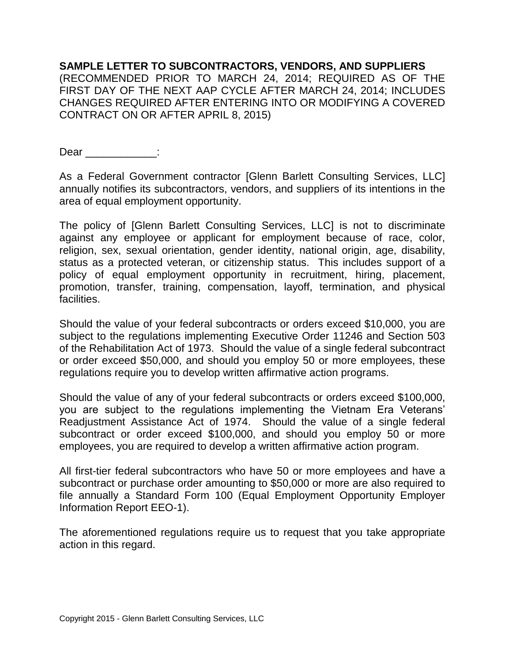**SAMPLE LETTER TO SUBCONTRACTORS, VENDORS, AND SUPPLIERS** (RECOMMENDED PRIOR TO MARCH 24, 2014; REQUIRED AS OF THE FIRST DAY OF THE NEXT AAP CYCLE AFTER MARCH 24, 2014; INCLUDES CHANGES REQUIRED AFTER ENTERING INTO OR MODIFYING A COVERED CONTRACT ON OR AFTER APRIL 8, 2015)

Dear <u>\_\_\_\_\_\_\_\_\_\_\_\_</u>:

As a Federal Government contractor [Glenn Barlett Consulting Services, LLC] annually notifies its subcontractors, vendors, and suppliers of its intentions in the area of equal employment opportunity.

The policy of [Glenn Barlett Consulting Services, LLC] is not to discriminate against any employee or applicant for employment because of race, color, religion, sex, sexual orientation, gender identity, national origin, age, disability, status as a protected veteran, or citizenship status. This includes support of a policy of equal employment opportunity in recruitment, hiring, placement, promotion, transfer, training, compensation, layoff, termination, and physical facilities.

Should the value of your federal subcontracts or orders exceed \$10,000, you are subject to the regulations implementing Executive Order 11246 and Section 503 of the Rehabilitation Act of 1973. Should the value of a single federal subcontract or order exceed \$50,000, and should you employ 50 or more employees, these regulations require you to develop written affirmative action programs.

Should the value of any of your federal subcontracts or orders exceed \$100,000, you are subject to the regulations implementing the Vietnam Era Veterans' Readjustment Assistance Act of 1974. Should the value of a single federal subcontract or order exceed \$100,000, and should you employ 50 or more employees, you are required to develop a written affirmative action program.

All first-tier federal subcontractors who have 50 or more employees and have a subcontract or purchase order amounting to \$50,000 or more are also required to file annually a Standard Form 100 (Equal Employment Opportunity Employer Information Report EEO-1).

The aforementioned regulations require us to request that you take appropriate action in this regard.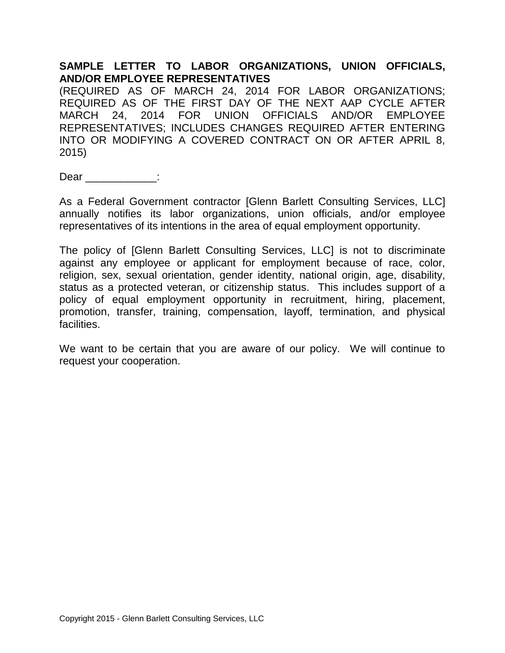## **SAMPLE LETTER TO LABOR ORGANIZATIONS, UNION OFFICIALS, AND/OR EMPLOYEE REPRESENTATIVES**

(REQUIRED AS OF MARCH 24, 2014 FOR LABOR ORGANIZATIONS; REQUIRED AS OF THE FIRST DAY OF THE NEXT AAP CYCLE AFTER MARCH 24, 2014 FOR UNION OFFICIALS AND/OR EMPLOYEE REPRESENTATIVES; INCLUDES CHANGES REQUIRED AFTER ENTERING INTO OR MODIFYING A COVERED CONTRACT ON OR AFTER APRIL 8, 2015)

Dear :

As a Federal Government contractor [Glenn Barlett Consulting Services, LLC] annually notifies its labor organizations, union officials, and/or employee representatives of its intentions in the area of equal employment opportunity.

The policy of [Glenn Barlett Consulting Services, LLC] is not to discriminate against any employee or applicant for employment because of race, color, religion, sex, sexual orientation, gender identity, national origin, age, disability, status as a protected veteran, or citizenship status. This includes support of a policy of equal employment opportunity in recruitment, hiring, placement, promotion, transfer, training, compensation, layoff, termination, and physical facilities.

We want to be certain that you are aware of our policy. We will continue to request your cooperation.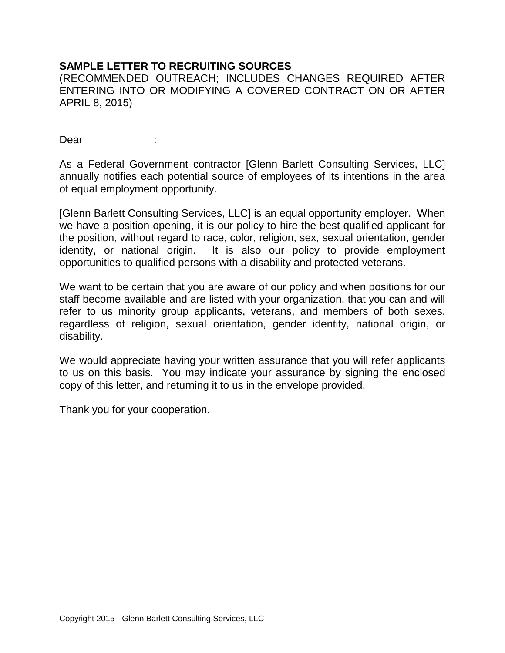## **SAMPLE LETTER TO RECRUITING SOURCES**

(RECOMMENDED OUTREACH; INCLUDES CHANGES REQUIRED AFTER ENTERING INTO OR MODIFYING A COVERED CONTRACT ON OR AFTER APRIL 8, 2015)

Dear \_\_\_\_\_\_\_\_\_\_\_ :

As a Federal Government contractor [Glenn Barlett Consulting Services, LLC] annually notifies each potential source of employees of its intentions in the area of equal employment opportunity.

[Glenn Barlett Consulting Services, LLC] is an equal opportunity employer. When we have a position opening, it is our policy to hire the best qualified applicant for the position, without regard to race, color, religion, sex, sexual orientation, gender identity, or national origin. It is also our policy to provide employment opportunities to qualified persons with a disability and protected veterans.

We want to be certain that you are aware of our policy and when positions for our staff become available and are listed with your organization, that you can and will refer to us minority group applicants, veterans, and members of both sexes, regardless of religion, sexual orientation, gender identity, national origin, or disability.

We would appreciate having your written assurance that you will refer applicants to us on this basis. You may indicate your assurance by signing the enclosed copy of this letter, and returning it to us in the envelope provided.

Thank you for your cooperation.